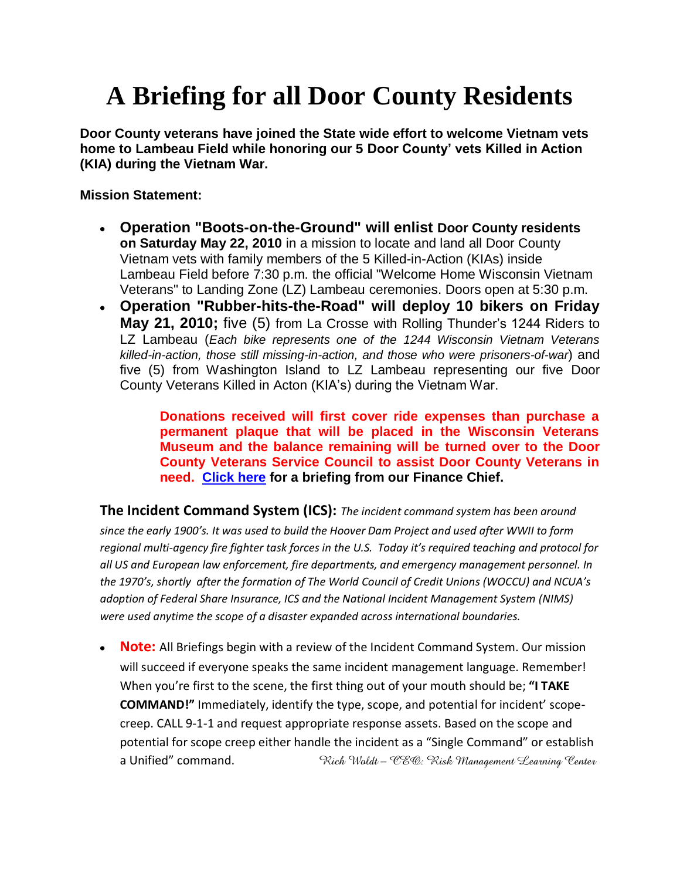# **A Briefing for all Door County Residents**

**Door County veterans have joined the State wide effort to welcome Vietnam vets home to Lambeau Field while honoring our 5 Door County' vets Killed in Action (KIA) during the Vietnam War.**

#### **Mission Statement:**

- **Operation "Boots-on-the-Ground" will enlist Door County residents on Saturday May 22, 2010** in a mission to locate and land all Door County Vietnam vets with family members of the 5 Killed-in-Action (KIAs) inside Lambeau Field before 7:30 p.m. the official "Welcome Home Wisconsin Vietnam Veterans" to Landing Zone (LZ) Lambeau ceremonies. Doors open at 5:30 p.m.
- **Operation "Rubber-hits-the-Road" will deploy 10 bikers on Friday May 21, 2010;** five (5) from La Crosse with Rolling Thunder's 1244 Riders to LZ Lambeau (*Each bike represents one of the 1244 Wisconsin Vietnam Veterans killed-in-action, those still missing-in-action, and those who were prisoners-of-war*) and five (5) from Washington Island to LZ Lambeau representing our five Door County Veterans Killed in Acton (KIA's) during the Vietnam War.

**Donations received will first cover ride expenses than purchase a permanent plaque that will be placed in the Wisconsin Veterans Museum and the balance remaining will be turned over to the Door County Veterans Service Council to assist Door County Veterans in need. [Click here](LZLambeauBriefingFinanceChiefApril6.pdf) for a briefing from our Finance Chief.**

**The Incident Command System (ICS):** *The incident command system has been around since the early 1900's. It was used to build the Hoover Dam Project and used after WWII to form regional multi-agency fire fighter task forces in the U.S. Today it's required teaching and protocol for all US and European law enforcement, fire departments, and emergency management personnel. In the 1970's, shortly after the formation of The World Council of Credit Unions (WOCCU) and NCUA's adoption of Federal Share Insurance, ICS and the National Incident Management System (NIMS) were used anytime the scope of a disaster expanded across international boundaries.* 

**Note:** All Briefings begin with a review of the Incident Command System. Our mission will succeed if everyone speaks the same incident management language. Remember! When you're first to the scene, the first thing out of your mouth should be; **"I TAKE COMMAND!"** Immediately, identify the type, scope, and potential for incident' scopecreep. CALL 9-1-1 and request appropriate response assets. Based on the scope and potential for scope creep either handle the incident as a "Single Command" or establish a Unified" command. *Rich Woldt – CEO: Risk Management Learning Center*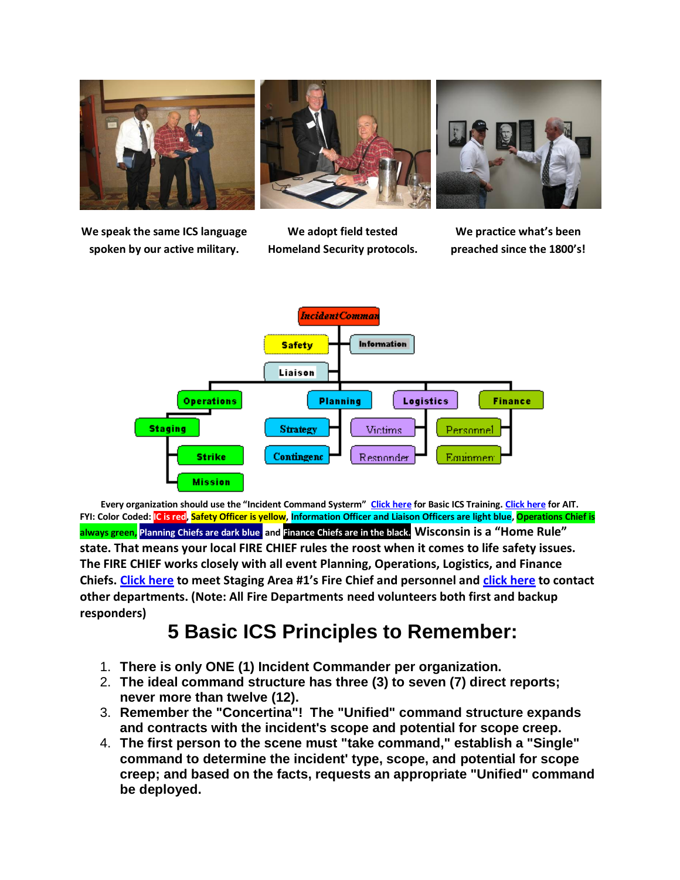

**We speak the same ICS language spoken by our active military.**

**We adopt field tested Homeland Security protocols.**

**We practice what's been preached since the 1800's!**



**Every organization should use the "Incident Command Systerm" [Click here](../../LZ_Lambeau_Basic_Training.htm) for Basic ICS Training. [Click here](../../LZ_Lambeau_AIT.htm) for AIT. FYI: Color Coded: IC is red, Safety Officer is yellow, Information Officer and Liaison Officers are light blue, Operations Chief is always green, Planning Chiefs are dark blue, and Finance Chiefs are in the black. Wisconsin is a "Home Rule" state. That means your local FIRE CHIEF rules the roost when it comes to life safety issues. The FIRE CHIEF works closely with all event Planning, Operations, Logistics, and Finance Chiefs. [Click here](http://www.sblgfd.com/frameset.html?index.html~right) to meet Staging Area #1's Fire Chief and personnel and [click here](http://www.google.com/search?hl=en&source=hp&q=Sister+Bay+Wisconsin+Fire+Department&btnG=Google+Search&aq=f&aqi=&aql=&oq=&gs_rfai=) to contact other departments. (Note: All Fire Departments need volunteers both first and backup responders)** 

## **5 Basic ICS Principles to Remember:**

- 1. **There is only ONE (1) Incident Commander per organization.**
- 2. **The ideal command structure has three (3) to seven (7) direct reports; never more than twelve (12).**
- 3. **Remember the "Concertina"! The "Unified" command structure expands and contracts with the incident's scope and potential for scope creep.**
- 4. **The first person to the scene must "take command," establish a "Single" command to determine the incident' type, scope, and potential for scope creep; and based on the facts, requests an appropriate "Unified" command be deployed.**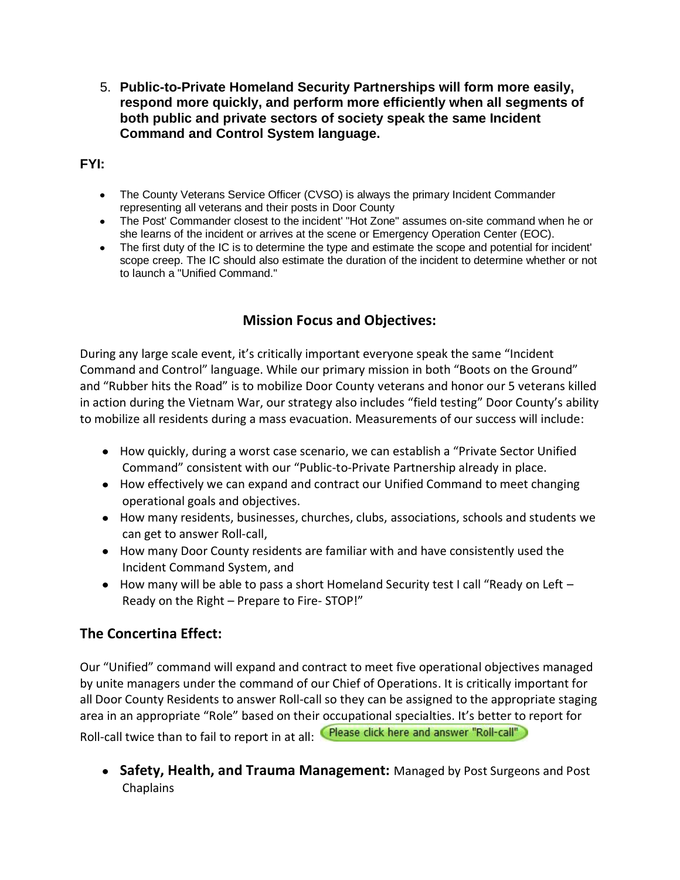5. **Public-to-Private Homeland Security Partnerships will form more easily, respond more quickly, and perform more efficiently when all segments of both public and private sectors of society speak the same Incident Command and Control System language.** 

**FYI:** 

- The County Veterans Service Officer (CVSO) is always the primary Incident Commander representing all veterans and their posts in Door County
- The Post' Commander closest to the incident' "Hot Zone" assumes on-site command when he or she learns of the incident or arrives at the scene or Emergency Operation Center (EOC).
- The first duty of the IC is to determine the type and estimate the scope and potential for incident' scope creep. The IC should also estimate the duration of the incident to determine whether or not to launch a "Unified Command."

#### **Mission Focus and Objectives:**

During any large scale event, it's critically important everyone speak the same "Incident Command and Control" language. While our primary mission in both "Boots on the Ground" and "Rubber hits the Road" is to mobilize Door County veterans and honor our 5 veterans killed in action during the Vietnam War, our strategy also includes "field testing" Door County's ability to mobilize all residents during a mass evacuation. Measurements of our success will include:

- How quickly, during a worst case scenario, we can establish a "Private Sector Unified Command" consistent with our "Public-to-Private Partnership already in place.
- How effectively we can expand and contract our Unified Command to meet changing operational goals and objectives.
- How many residents, businesses, churches, clubs, associations, schools and students we can get to answer Roll-call,
- How many Door County residents are familiar with and have consistently used the Incident Command System, and
- $\bullet$  How many will be able to pass a short Homeland Security test I call "Ready on Left  $-$ Ready on the Right – Prepare to Fire- STOP!"

#### **The Concertina Effect:**

Our "Unified" command will expand and contract to meet five operational objectives managed by unite managers under the command of our Chief of Operations. It is critically important for all Door County Residents to answer Roll-call so they can be assigned to the appropriate staging area in an appropriate "Role" based on their occupational specialties. It's better to report for Roll-call twice than to fail to report in at all: Please click here and answer "Roll-call"

**Safety, Health, and Trauma Management:** Managed by Post Surgeons and Post Chaplains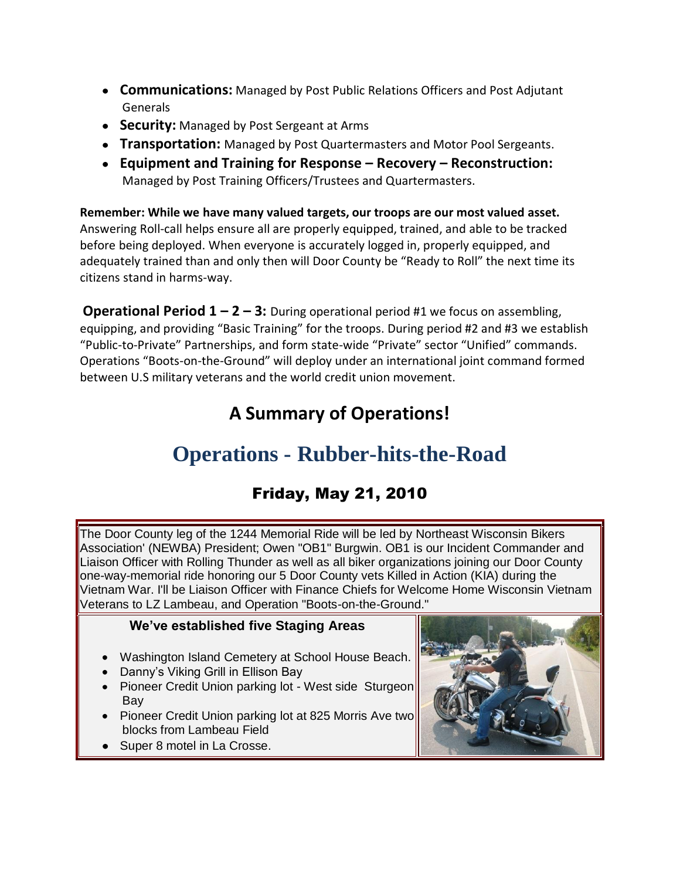- **Communications:** Managed by Post Public Relations Officers and Post Adjutant **Generals**
- **Security:** Managed by Post Sergeant at Arms
- **Transportation:** Managed by Post Quartermasters and Motor Pool Sergeants.
- **Equipment and Training for Response – Recovery – Reconstruction:** Managed by Post Training Officers/Trustees and Quartermasters.

**Remember: While we have many valued targets, our troops are our most valued asset.** Answering Roll-call helps ensure all are properly equipped, trained, and able to be tracked before being deployed. When everyone is accurately logged in, properly equipped, and adequately trained than and only then will Door County be "Ready to Roll" the next time its citizens stand in harms-way.

**Operational Period 1 – 2 – 3:** During operational period #1 we focus on assembling, equipping, and providing "Basic Training" for the troops. During period #2 and #3 we establish "Public-to-Private" Partnerships, and form state-wide "Private" sector "Unified" commands. Operations "Boots-on-the-Ground" will deploy under an international joint command formed between U.S military veterans and the world credit union movement.

## **A Summary of Operations!**

## **Operations - Rubber-hits-the-Road**

## Friday, May 21, 2010

The Door County leg of the 1244 Memorial Ride will be led by Northeast Wisconsin Bikers Association' (NEWBA) President; Owen "OB1" Burgwin. OB1 is our Incident Commander and Liaison Officer with Rolling Thunder as well as all biker organizations joining our Door County one-way-memorial ride honoring our 5 Door County vets Killed in Action (KIA) during the Vietnam War. I'll be Liaison Officer with Finance Chiefs for Welcome Home Wisconsin Vietnam Veterans to LZ Lambeau, and Operation "Boots-on-the-Ground."

#### **We've established five Staging Areas**

- Washington Island Cemetery at School House Beach.
- Danny's Viking Grill in Ellison Bay
- Pioneer Credit Union parking lot West side Sturgeon Bay
- Pioneer Credit Union parking lot at 825 Morris Ave two blocks from Lambeau Field
- Super 8 motel in La Crosse.

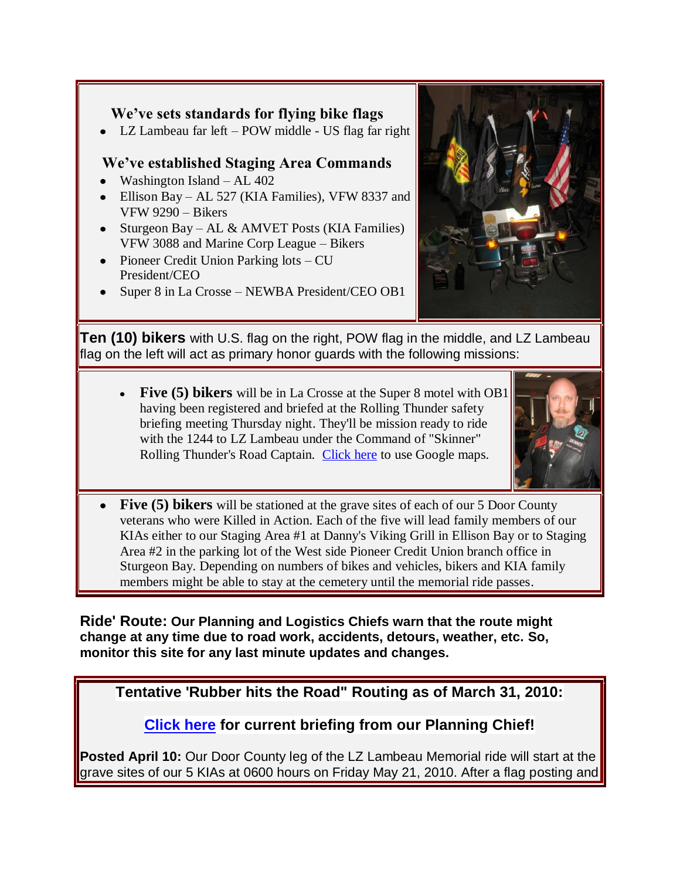#### **We've sets standards for flying bike flags**

LZ Lambeau far left – POW middle - US flag far right

#### **We've established Staging Area Commands**

- Washington Island AL  $402$
- Ellison Bay AL 527 (KIA Families), VFW 8337 and VFW 9290 – Bikers
- Sturgeon Bay AL & AMVET Posts (KIA Families) VFW 3088 and Marine Corp League – Bikers
- Pioneer Credit Union Parking lots CU President/CEO
- Super 8 in La Crosse NEWBA President/CEO OB1



**Ten (10) bikers** with U.S. flag on the right, POW flag in the middle, and LZ Lambeau flag on the left will act as primary honor guards with the following missions:

**Five (5) bikers** will be in La Crosse at the Super 8 motel with OB1 having been registered and briefed at the Rolling Thunder safety briefing meeting Thursday night. They'll be mission ready to ride with the 1244 to LZ Lambeau under the Command of "Skinner" Rolling Thunder's Road Captain. [Click here](http://maps.google.com/maps?f=q&source=embed&hl=en&geocode=&q=Viking+Grill,+Ellison+Bay,+Wisconsin&sll=45.395075,-86.931381&sspn=0.163456,0.280838&ie=UTF8&hq=Viking+Grill,&hnear=Ellison+Bay&t=h&cid=773501102070094516&ll=45.262443,-87.069139&spn=0.021144,0.036478&z=14&iwloc=A) to use Google maps.



**Five (5) bikers** will be stationed at the grave sites of each of our 5 Door County veterans who were Killed in Action. Each of the five will lead family members of our KIAs either to our Staging Area #1 at Danny's Viking Grill in Ellison Bay or to Staging Area #2 in the parking lot of the West side Pioneer Credit Union branch office in Sturgeon Bay. Depending on numbers of bikes and vehicles, bikers and KIA family members might be able to stay at the cemetery until the memorial ride passes.

**Ride' Route: Our Planning and Logistics Chiefs warn that the route might change at any time due to road work, accidents, detours, weather, etc. So, monitor this site for any last minute updates and changes.**

**Tentative 'Rubber hits the Road" Routing as of March 31, 2010:**

**[Click here](LZLambeauPlanningChiefBriefingApril21.pdf) for current briefing from our Planning Chief!**

**Posted April 10:** Our Door County leg of the LZ Lambeau Memorial ride will start at the grave sites of our 5 KIAs at 0600 hours on Friday May 21, 2010. After a flag posting and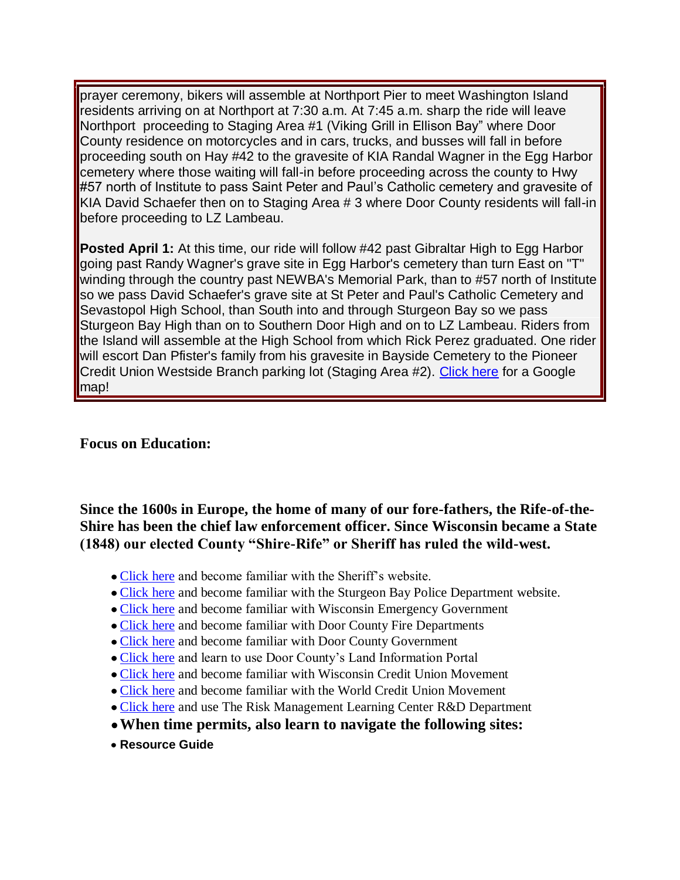prayer ceremony, bikers will assemble at Northport Pier to meet Washington Island residents arriving on at Northport at 7:30 a.m. At 7:45 a.m. sharp the ride will leave Northport proceeding to Staging Area #1 (Viking Grill in Ellison Bay" where Door County residence on motorcycles and in cars, trucks, and busses will fall in before proceeding south on Hay #42 to the gravesite of KIA Randal Wagner in the Egg Harbor cemetery where those waiting will fall-in before proceeding across the county to Hwy #57 north of Institute to pass Saint Peter and Paul's Catholic cemetery and gravesite of KIA David Schaefer then on to Staging Area # 3 where Door County residents will fall-in before proceeding to LZ Lambeau.

**Posted April 1:** At this time, our ride will follow #42 past Gibraltar High to Egg Harbor going past Randy Wagner's grave site in Egg Harbor's cemetery than turn East on "T" winding through the country past NEWBA's Memorial Park, than to #57 north of Institute so we pass David Schaefer's grave site at St Peter and Paul's Catholic Cemetery and Sevastopol High School, than South into and through Sturgeon Bay so we pass Sturgeon Bay High than on to Southern Door High and on to LZ Lambeau. Riders from the Island will assemble at the High School from which Rick Perez graduated. One rider will escort Dan Pfister's family from his gravesite in Bayside Cemetery to the Pioneer Credit Union Westside Branch parking lot (Staging Area #2). [Click here](http://maps.google.com/maps?f=q&source=embed&hl=en&geocode=&q=Viking+Grill,+Ellison+Bay,+Wisconsin&sll=45.395075,-86.931381&sspn=0.163456,0.280838&ie=UTF8&hq=Viking+Grill,&hnear=Ellison+Bay&t=h&cid=773501102070094516&ll=45.262443,-87.069139&spn=0.021144,0.036478&z=14&iwloc=A) for a Google map!

#### **Focus on Education:**

**Since the 1600s in Europe, the home of many of our fore-fathers, the Rife-of-the-Shire has been the chief law enforcement officer. Since Wisconsin became a State (1848) our elected County "Shire-Rife" or Sheriff has ruled the wild-west.**

- [Click here](http://www.co.door.wi.gov/localgov_staff.asp?deptid=52&locid=137) and become familiar with the Sheriff's website.
- [Click here](http://www.google.com/search?hl=en&source=hp&q=sturgeon+bay+police+department&aq=0&aqi=g1&aql=&oq=Sturgeon+Bay+Poli&gs_rfai=) and become familiar with the Sturgeon Bay Police Department website.
- [Click here](http://www.google.com/search?hl=en&q=wisconsin+emergency+management&aq=0c&aqi=g-c3&aql=&oq=Wisc+emergency+management&gs_rfai=) and become familiar with Wisconsin Emergency Government
- [Click here](http://www.google.com/search?hl=en&q=door+county+fire+department&aq=0&aqi=g2&aql=&oq=Door+County+Fire+&gs_rfai=) and become familiar with Door County Fire Departments
- [Click here](http://www.co.door.wi.gov/localgov_staff_search.asp?locid=137) and become familiar with Door County Government
- [Click here](http://map.co.door.wi.us/) and learn to use Door County's Land Information Portal
- [Click here](http://www.google.com/search?hl=en&q=wisconsin+credit+union+league&aq=1&aqi=g10&aql=&oq=Wisconsin+Cred&gs_rfai=) and become familiar with Wisconsin Credit Union Movement
- [Click here](http://www.woccu.org/memberserv/intlcusystem) and become familiar with the World Credit Union Movement
- [Click here](http://www.rmlearningcenter.com/) and use The Risk Management Learning Center R&D Department
- **When time permits, also learn to navigate the following sites:**
- **Resource Guide**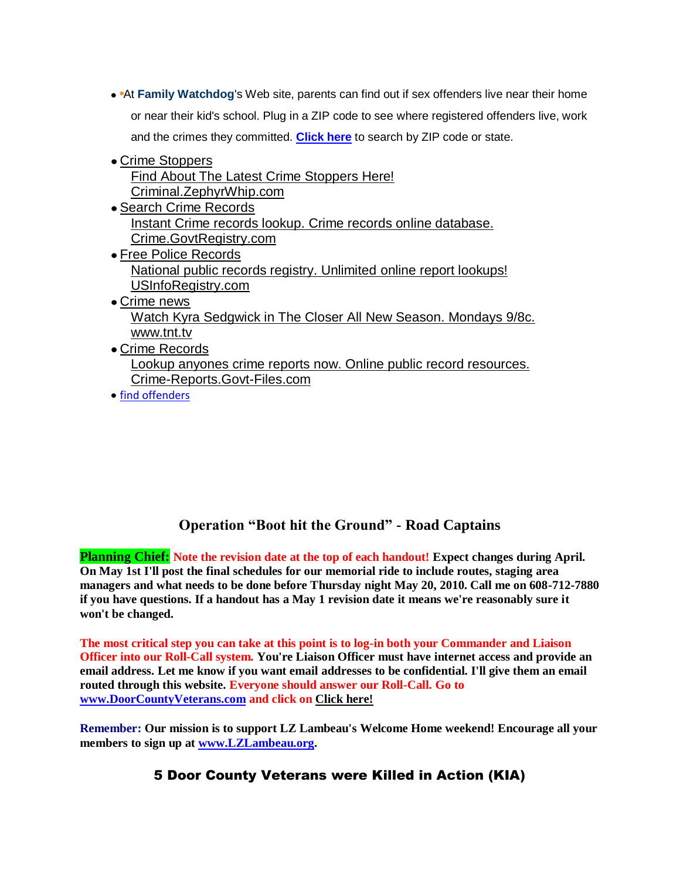- At **[Family Watchdog](http://www.familywatchdog.us/)**'s Web site, parents can find out if sex offenders live near their home or near their kid's school. Plug in a ZIP code to see where registered offenders live, work and the crimes they committed. **[Click here](http://www.familywatchdog.us/Search.asp)** to search by ZIP code or state.
- [Crime Stoppers](http://aolsearch.aol.com/aol/redir?src=afe_r2&requestId=9fec1236172bd2be&clickedItemRank=1&userQuery=www.crimestoppers.gov&clickedItemURN=http%3A%2F%2Fswitcher.dmn.aol.com%2Fsw%2Fr%3Fri%3D00vURr40yjQIyNniM1Ioa6cA%26ai%3D0%26dt%3D1204217445248%26u%3Dhttp%253A%252F%252Fpagead2.googlesyndication.com%252Fpagead%252Ficlk%253Fsa%253Dl%2526ai%253DBDoMeZebGR9-UKZbm4wHx-a2BBIO9pTyH55PYBsCNtwHAqQcQARgBIKTqiwIoBTgAUIrj6sX5_____wFgyQaqAQthb2xfYWZlX2Ruc7IBEWNyaW1lc3RvcHBlcnMuZ292yAEB2gEZaHR0cDovL2NyaW1lc3RvcHBlcnMuZ292L6gDAegDlwToA0z1AwEAAAD1AwAAgAA%2526num%253D1%2526adurl%253Dhttp%253A%252F%252Fwww.zephyrwhip.com%252Fwebdir%252Fcrime%252Fcrime%25252Bstoppers%252Fcriminal%25252Bdefense%25252Blawyer%252Findex.htm%2526client%253Dca-afe-aol%26cs%3Dcb7JsHXk8Q1eXiixVIH4DR2zuHY%253D&partner=AFE&googlePromoFlag=0&title=Crime+Stoppers&moduleId=afe_dmn.jsp.M&googleLocalFlag=0&clickedItemPageRanking=1&clickedItemPage=1&clickedItemDescription=GoogleSLResults) [Find About The Latest Crime Stoppers Here!](http://aolsearch.aol.com/aol/redir?src=afe_r2&requestId=9fec1236172bd2be&clickedItemRank=1&userQuery=www.crimestoppers.gov&clickedItemURN=http%3A%2F%2Fswitcher.dmn.aol.com%2Fsw%2Fr%3Fri%3D00vURr40yjQIyNniM1Ioa6cA%26ai%3D0%26dt%3D1204217445248%26u%3Dhttp%253A%252F%252Fpagead2.googlesyndication.com%252Fpagead%252Ficlk%253Fsa%253Dl%2526ai%253DBDoMeZebGR9-UKZbm4wHx-a2BBIO9pTyH55PYBsCNtwHAqQcQARgBIKTqiwIoBTgAUIrj6sX5_____wFgyQaqAQthb2xfYWZlX2Ruc7IBEWNyaW1lc3RvcHBlcnMuZ292yAEB2gEZaHR0cDovL2NyaW1lc3RvcHBlcnMuZ292L6gDAegDlwToA0z1AwEAAAD1AwAAgAA%2526num%253D1%2526adurl%253Dhttp%253A%252F%252Fwww.zephyrwhip.com%252Fwebdir%252Fcrime%252Fcrime%25252Bstoppers%252Fcriminal%25252Bdefense%25252Blawyer%252Findex.htm%2526client%253Dca-afe-aol%26cs%3Dcb7JsHXk8Q1eXiixVIH4DR2zuHY%253D&partner=AFE&googlePromoFlag=0&title=Crime+Stoppers&moduleId=afe_dmn.jsp.M&googleLocalFlag=0&clickedItemPageRanking=1&clickedItemPage=1&clickedItemDescription=GoogleSLResults) [Criminal.ZephyrWhip.com](http://aolsearch.aol.com/aol/redir?src=afe_r2&requestId=9fec1236172bd2be&clickedItemRank=1&userQuery=www.crimestoppers.gov&clickedItemURN=http%3A%2F%2Fswitcher.dmn.aol.com%2Fsw%2Fr%3Fri%3D00vURr40yjQIyNniM1Ioa6cA%26ai%3D0%26dt%3D1204217445248%26u%3Dhttp%253A%252F%252Fpagead2.googlesyndication.com%252Fpagead%252Ficlk%253Fsa%253Dl%2526ai%253DBDoMeZebGR9-UKZbm4wHx-a2BBIO9pTyH55PYBsCNtwHAqQcQARgBIKTqiwIoBTgAUIrj6sX5_____wFgyQaqAQthb2xfYWZlX2Ruc7IBEWNyaW1lc3RvcHBlcnMuZ292yAEB2gEZaHR0cDovL2NyaW1lc3RvcHBlcnMuZ292L6gDAegDlwToA0z1AwEAAAD1AwAAgAA%2526num%253D1%2526adurl%253Dhttp%253A%252F%252Fwww.zephyrwhip.com%252Fwebdir%252Fcrime%252Fcrime%25252Bstoppers%252Fcriminal%25252Bdefense%25252Blawyer%252Findex.htm%2526client%253Dca-afe-aol%26cs%3Dcb7JsHXk8Q1eXiixVIH4DR2zuHY%253D&partner=AFE&googlePromoFlag=0&title=Crime+Stoppers&moduleId=afe_dmn.jsp.M&googleLocalFlag=0&clickedItemPageRanking=1&clickedItemPage=1&clickedItemDescription=GoogleSLResults)
- [Search Crime Records](http://aolsearch.aol.com/aol/redir?src=afe_r2&requestId=9fec1236172bd2be&clickedItemRank=2&userQuery=www.crimestoppers.gov&clickedItemURN=http%3A%2F%2Fswitcher.dmn.aol.com%2Fsw%2Fr%3Fri%3D00vURr40yjQIyNniM1Ioa6cA%26ai%3D1%26dt%3D1204217445248%26u%3Dhttp%253A%252F%252Fpagead2.googlesyndication.com%252Fpagead%252Ficlk%253Fsa%253Dl%2526ai%253DBK19rZebGR9-UKZbm4wHx-a2BBNyD6CrkiLvyA8CNtwGA4gkQAhgCIKTqiwIoBTgAUIWu-KcFYMkGoAG8q-37A6oBC2FvbF9hZmVfZG5zsgERY3JpbWVzdG9wcGVycy5nb3bIAQHaARlodHRwOi8vY3JpbWVzdG9wcGVycy5nb3YvqAMB6AOXBOgDTPUDAQAAAPUDAACAAA%2526num%253D2%2526adurl%253Dhttp%253A%252F%252Fwww.govtregistry.com%252Flp.php%25253Fsk%25253DCrime%252526tc%25253DmI02I98%2526client%253Dca-afe-aol%26cs%3DdQ56z%252Fd%252FPJZ0cBghsaNf38SErG8%253D&partner=AFE&googlePromoFlag=0&title=Search+Crime+Records&moduleId=afe_dmn.jsp.M&googleLocalFlag=0&clickedItemPageRanking=2&clickedItemPage=1&clickedItemDescription=GoogleSLResults) [Instant Crime records lookup. Crime records online database.](http://aolsearch.aol.com/aol/redir?src=afe_r2&requestId=9fec1236172bd2be&clickedItemRank=2&userQuery=www.crimestoppers.gov&clickedItemURN=http%3A%2F%2Fswitcher.dmn.aol.com%2Fsw%2Fr%3Fri%3D00vURr40yjQIyNniM1Ioa6cA%26ai%3D1%26dt%3D1204217445248%26u%3Dhttp%253A%252F%252Fpagead2.googlesyndication.com%252Fpagead%252Ficlk%253Fsa%253Dl%2526ai%253DBK19rZebGR9-UKZbm4wHx-a2BBNyD6CrkiLvyA8CNtwGA4gkQAhgCIKTqiwIoBTgAUIWu-KcFYMkGoAG8q-37A6oBC2FvbF9hZmVfZG5zsgERY3JpbWVzdG9wcGVycy5nb3bIAQHaARlodHRwOi8vY3JpbWVzdG9wcGVycy5nb3YvqAMB6AOXBOgDTPUDAQAAAPUDAACAAA%2526num%253D2%2526adurl%253Dhttp%253A%252F%252Fwww.govtregistry.com%252Flp.php%25253Fsk%25253DCrime%252526tc%25253DmI02I98%2526client%253Dca-afe-aol%26cs%3DdQ56z%252Fd%252FPJZ0cBghsaNf38SErG8%253D&partner=AFE&googlePromoFlag=0&title=Search+Crime+Records&moduleId=afe_dmn.jsp.M&googleLocalFlag=0&clickedItemPageRanking=2&clickedItemPage=1&clickedItemDescription=GoogleSLResults) [Crime.GovtRegistry.com](http://aolsearch.aol.com/aol/redir?src=afe_r2&requestId=9fec1236172bd2be&clickedItemRank=2&userQuery=www.crimestoppers.gov&clickedItemURN=http%3A%2F%2Fswitcher.dmn.aol.com%2Fsw%2Fr%3Fri%3D00vURr40yjQIyNniM1Ioa6cA%26ai%3D1%26dt%3D1204217445248%26u%3Dhttp%253A%252F%252Fpagead2.googlesyndication.com%252Fpagead%252Ficlk%253Fsa%253Dl%2526ai%253DBK19rZebGR9-UKZbm4wHx-a2BBNyD6CrkiLvyA8CNtwGA4gkQAhgCIKTqiwIoBTgAUIWu-KcFYMkGoAG8q-37A6oBC2FvbF9hZmVfZG5zsgERY3JpbWVzdG9wcGVycy5nb3bIAQHaARlodHRwOi8vY3JpbWVzdG9wcGVycy5nb3YvqAMB6AOXBOgDTPUDAQAAAPUDAACAAA%2526num%253D2%2526adurl%253Dhttp%253A%252F%252Fwww.govtregistry.com%252Flp.php%25253Fsk%25253DCrime%252526tc%25253DmI02I98%2526client%253Dca-afe-aol%26cs%3DdQ56z%252Fd%252FPJZ0cBghsaNf38SErG8%253D&partner=AFE&googlePromoFlag=0&title=Search+Crime+Records&moduleId=afe_dmn.jsp.M&googleLocalFlag=0&clickedItemPageRanking=2&clickedItemPage=1&clickedItemDescription=GoogleSLResults)
- [Free Police Records](http://aolsearch.aol.com/aol/redir?src=afe_r2&requestId=9fec1236172bd2be&clickedItemRank=3&userQuery=www.crimestoppers.gov&clickedItemURN=http%3A%2F%2Fswitcher.dmn.aol.com%2Fsw%2Fr%3Fri%3D00vURr40yjQIyNniM1Ioa6cA%26ai%3D2%26dt%3D1204217445248%26u%3Dhttp%253A%252F%252Fpagead2.googlesyndication.com%252Fpagead%252Ficlk%253Fsa%253Dl%2526ai%253DBIleWZebGR9-UKZbm4wHx-a2BBNz5iDmQsJHaA8CNtwHAqQcQAxgDIKTqiwIoBTgAUMjwrqT4_____wFgyQagAbyWofwDqgELYW9sX2FmZV9kbnOyARFjcmltZXN0b3BwZXJzLmdvdsgBAdoBGWh0dHA6Ly9jcmltZXN0b3BwZXJzLmdvdi-oAwHoA5cE6ANM9QMBAAAA9QMAAIAA%2526num%253D3%2526adurl%253Dhttp%253A%252F%252Fusinforegistry.com%252Fxweb_police_records.php%2526client%253Dca-afe-aol%26cs%3Da9aXmiTs%252BD4OdoScpaKY1TXXqYU%253D&partner=AFE&googlePromoFlag=0&title=Free+Police+Records&moduleId=afe_dmn.jsp.M&googleLocalFlag=0&clickedItemPageRanking=3&clickedItemPage=1&clickedItemDescription=GoogleSLResults) [National public records registry. Unlimited](http://aolsearch.aol.com/aol/redir?src=afe_r2&requestId=9fec1236172bd2be&clickedItemRank=3&userQuery=www.crimestoppers.gov&clickedItemURN=http%3A%2F%2Fswitcher.dmn.aol.com%2Fsw%2Fr%3Fri%3D00vURr40yjQIyNniM1Ioa6cA%26ai%3D2%26dt%3D1204217445248%26u%3Dhttp%253A%252F%252Fpagead2.googlesyndication.com%252Fpagead%252Ficlk%253Fsa%253Dl%2526ai%253DBIleWZebGR9-UKZbm4wHx-a2BBNz5iDmQsJHaA8CNtwHAqQcQAxgDIKTqiwIoBTgAUMjwrqT4_____wFgyQagAbyWofwDqgELYW9sX2FmZV9kbnOyARFjcmltZXN0b3BwZXJzLmdvdsgBAdoBGWh0dHA6Ly9jcmltZXN0b3BwZXJzLmdvdi-oAwHoA5cE6ANM9QMBAAAA9QMAAIAA%2526num%253D3%2526adurl%253Dhttp%253A%252F%252Fusinforegistry.com%252Fxweb_police_records.php%2526client%253Dca-afe-aol%26cs%3Da9aXmiTs%252BD4OdoScpaKY1TXXqYU%253D&partner=AFE&googlePromoFlag=0&title=Free+Police+Records&moduleId=afe_dmn.jsp.M&googleLocalFlag=0&clickedItemPageRanking=3&clickedItemPage=1&clickedItemDescription=GoogleSLResults) online report lookups! [USInfoRegistry.com](http://aolsearch.aol.com/aol/redir?src=afe_r2&requestId=9fec1236172bd2be&clickedItemRank=3&userQuery=www.crimestoppers.gov&clickedItemURN=http%3A%2F%2Fswitcher.dmn.aol.com%2Fsw%2Fr%3Fri%3D00vURr40yjQIyNniM1Ioa6cA%26ai%3D2%26dt%3D1204217445248%26u%3Dhttp%253A%252F%252Fpagead2.googlesyndication.com%252Fpagead%252Ficlk%253Fsa%253Dl%2526ai%253DBIleWZebGR9-UKZbm4wHx-a2BBNz5iDmQsJHaA8CNtwHAqQcQAxgDIKTqiwIoBTgAUMjwrqT4_____wFgyQagAbyWofwDqgELYW9sX2FmZV9kbnOyARFjcmltZXN0b3BwZXJzLmdvdsgBAdoBGWh0dHA6Ly9jcmltZXN0b3BwZXJzLmdvdi-oAwHoA5cE6ANM9QMBAAAA9QMAAIAA%2526num%253D3%2526adurl%253Dhttp%253A%252F%252Fusinforegistry.com%252Fxweb_police_records.php%2526client%253Dca-afe-aol%26cs%3Da9aXmiTs%252BD4OdoScpaKY1TXXqYU%253D&partner=AFE&googlePromoFlag=0&title=Free+Police+Records&moduleId=afe_dmn.jsp.M&googleLocalFlag=0&clickedItemPageRanking=3&clickedItemPage=1&clickedItemDescription=GoogleSLResults)
- [Crime news](http://aolsearch.aol.com/aol/redir?src=afe_r2&requestId=9fec1236172bd2be&clickedItemRank=4&userQuery=www.crimestoppers.gov&clickedItemURN=http%3A%2F%2Fswitcher.dmn.aol.com%2Fsw%2Fr%3Fri%3D00vURr40yjQIyNniM1Ioa6cA%26ai%3D3%26dt%3D1204217445248%26u%3Dhttp%253A%252F%252Fpagead2.googlesyndication.com%252Fpagead%252Ficlk%253Fsa%253Dl%2526ai%253DBclPOZebGR9-UKZbm4wHx-a2BBOX-8UGFxMfZBcCNtwHgtg0QBBgEIKTqiwIoBTgAUIrhwe_6_____wFgyQaqAQthb2xfYWZlX2Ruc7IBEWNyaW1lc3RvcHBlcnMuZ292yAEB2gEZaHR0cDovL2NyaW1lc3RvcHBlcnMuZ292L8gChfKxBKgDAegDlwToA0z1AwEAAAD1AwAAgAA%2526num%253D4%2526adurl%253Dhttp%253A%252F%252Ftrack.searchignite.com%252Fsi%252Fcm%252Ftracking%252Fclickredirect.aspx%25253Fsitrackingid%25253D10140552%252526sicontent%25253D1%252526sicreative%25253D1440495401%2526client%253Dca-afe-aol%26cs%3DE%252BLFrV10ULn%252F%252Feh9rV1TaQCG7EA%253D&partner=AFE&googlePromoFlag=0&title=Crime+news&moduleId=afe_dmn.jsp.M&googleLocalFlag=0&clickedItemPageRanking=4&clickedItemPage=1&clickedItemDescription=GoogleSLResults) [Watch Kyra Sedgwick in The Closer All New Season. Mondays 9/8c.](http://aolsearch.aol.com/aol/redir?src=afe_r2&requestId=9fec1236172bd2be&clickedItemRank=4&userQuery=www.crimestoppers.gov&clickedItemURN=http%3A%2F%2Fswitcher.dmn.aol.com%2Fsw%2Fr%3Fri%3D00vURr40yjQIyNniM1Ioa6cA%26ai%3D3%26dt%3D1204217445248%26u%3Dhttp%253A%252F%252Fpagead2.googlesyndication.com%252Fpagead%252Ficlk%253Fsa%253Dl%2526ai%253DBclPOZebGR9-UKZbm4wHx-a2BBOX-8UGFxMfZBcCNtwHgtg0QBBgEIKTqiwIoBTgAUIrhwe_6_____wFgyQaqAQthb2xfYWZlX2Ruc7IBEWNyaW1lc3RvcHBlcnMuZ292yAEB2gEZaHR0cDovL2NyaW1lc3RvcHBlcnMuZ292L8gChfKxBKgDAegDlwToA0z1AwEAAAD1AwAAgAA%2526num%253D4%2526adurl%253Dhttp%253A%252F%252Ftrack.searchignite.com%252Fsi%252Fcm%252Ftracking%252Fclickredirect.aspx%25253Fsitrackingid%25253D10140552%252526sicontent%25253D1%252526sicreative%25253D1440495401%2526client%253Dca-afe-aol%26cs%3DE%252BLFrV10ULn%252F%252Feh9rV1TaQCG7EA%253D&partner=AFE&googlePromoFlag=0&title=Crime+news&moduleId=afe_dmn.jsp.M&googleLocalFlag=0&clickedItemPageRanking=4&clickedItemPage=1&clickedItemDescription=GoogleSLResults) [www.tnt.tv](http://aolsearch.aol.com/aol/redir?src=afe_r2&requestId=9fec1236172bd2be&clickedItemRank=4&userQuery=www.crimestoppers.gov&clickedItemURN=http%3A%2F%2Fswitcher.dmn.aol.com%2Fsw%2Fr%3Fri%3D00vURr40yjQIyNniM1Ioa6cA%26ai%3D3%26dt%3D1204217445248%26u%3Dhttp%253A%252F%252Fpagead2.googlesyndication.com%252Fpagead%252Ficlk%253Fsa%253Dl%2526ai%253DBclPOZebGR9-UKZbm4wHx-a2BBOX-8UGFxMfZBcCNtwHgtg0QBBgEIKTqiwIoBTgAUIrhwe_6_____wFgyQaqAQthb2xfYWZlX2Ruc7IBEWNyaW1lc3RvcHBlcnMuZ292yAEB2gEZaHR0cDovL2NyaW1lc3RvcHBlcnMuZ292L8gChfKxBKgDAegDlwToA0z1AwEAAAD1AwAAgAA%2526num%253D4%2526adurl%253Dhttp%253A%252F%252Ftrack.searchignite.com%252Fsi%252Fcm%252Ftracking%252Fclickredirect.aspx%25253Fsitrackingid%25253D10140552%252526sicontent%25253D1%252526sicreative%25253D1440495401%2526client%253Dca-afe-aol%26cs%3DE%252BLFrV10ULn%252F%252Feh9rV1TaQCG7EA%253D&partner=AFE&googlePromoFlag=0&title=Crime+news&moduleId=afe_dmn.jsp.M&googleLocalFlag=0&clickedItemPageRanking=4&clickedItemPage=1&clickedItemDescription=GoogleSLResults)
- [Crime Records](http://aolsearch.aol.com/aol/redir?src=afe_r2&requestId=9fec1236172bd2be&clickedItemRank=5&userQuery=www.crimestoppers.gov&clickedItemURN=http%3A%2F%2Fswitcher.dmn.aol.com%2Fsw%2Fr%3Fri%3D00vURr40yjQIyNniM1Ioa6cA%26ai%3D4%26dt%3D1204217445248%26u%3Dhttp%253A%252F%252Fpagead2.googlesyndication.com%252Fpagead%252Ficlk%253Fsa%253Dl%2526ai%253DBfzWwZebGR9-UKZbm4wHx-a2BBJ2LkjnVkKz4BMCNtwGgjQYQBRgFIKTqiwIoBTgAUKT9lKD9_____wFgyQagAYPVsvsDqgELYW9sX2FmZV9kbnOyARFjcmltZXN0b3BwZXJzLmdvdsgBAdoBGWh0dHA6Ly9jcmltZXN0b3BwZXJzLmdvdi-oAwHoA5cE6ANM9QMBAAAA9QMAAIAA%2526num%253D5%2526ggladgrp%253D5485287594313965484%2526gglcreat%253D4927193243904171081%2526adurl%253Dhttp%253A%252F%252Fgovt-files.com%252Fsearch.php%25253Fsearch%25253DCRREP%252526title%25253DCrime%25252520Reports%2526client%253Dca-afe-aol%26cs%3DPw1idlAnM22kI9SO5qj7YVvbKtY%253D&partner=AFE&googlePromoFlag=0&title=Crime+Records&moduleId=afe_dmn.jsp.M&googleLocalFlag=0&clickedItemPageRanking=5&clickedItemPage=1&clickedItemDescription=GoogleSLResults) [Lookup anyones crime reports now. Online public record resources.](http://aolsearch.aol.com/aol/redir?src=afe_r2&requestId=9fec1236172bd2be&clickedItemRank=5&userQuery=www.crimestoppers.gov&clickedItemURN=http%3A%2F%2Fswitcher.dmn.aol.com%2Fsw%2Fr%3Fri%3D00vURr40yjQIyNniM1Ioa6cA%26ai%3D4%26dt%3D1204217445248%26u%3Dhttp%253A%252F%252Fpagead2.googlesyndication.com%252Fpagead%252Ficlk%253Fsa%253Dl%2526ai%253DBfzWwZebGR9-UKZbm4wHx-a2BBJ2LkjnVkKz4BMCNtwGgjQYQBRgFIKTqiwIoBTgAUKT9lKD9_____wFgyQagAYPVsvsDqgELYW9sX2FmZV9kbnOyARFjcmltZXN0b3BwZXJzLmdvdsgBAdoBGWh0dHA6Ly9jcmltZXN0b3BwZXJzLmdvdi-oAwHoA5cE6ANM9QMBAAAA9QMAAIAA%2526num%253D5%2526ggladgrp%253D5485287594313965484%2526gglcreat%253D4927193243904171081%2526adurl%253Dhttp%253A%252F%252Fgovt-files.com%252Fsearch.php%25253Fsearch%25253DCRREP%252526title%25253DCrime%25252520Reports%2526client%253Dca-afe-aol%26cs%3DPw1idlAnM22kI9SO5qj7YVvbKtY%253D&partner=AFE&googlePromoFlag=0&title=Crime+Records&moduleId=afe_dmn.jsp.M&googleLocalFlag=0&clickedItemPageRanking=5&clickedItemPage=1&clickedItemDescription=GoogleSLResults) [Crime-Reports.Govt-Files.com](http://aolsearch.aol.com/aol/redir?src=afe_r2&requestId=9fec1236172bd2be&clickedItemRank=5&userQuery=www.crimestoppers.gov&clickedItemURN=http%3A%2F%2Fswitcher.dmn.aol.com%2Fsw%2Fr%3Fri%3D00vURr40yjQIyNniM1Ioa6cA%26ai%3D4%26dt%3D1204217445248%26u%3Dhttp%253A%252F%252Fpagead2.googlesyndication.com%252Fpagead%252Ficlk%253Fsa%253Dl%2526ai%253DBfzWwZebGR9-UKZbm4wHx-a2BBJ2LkjnVkKz4BMCNtwGgjQYQBRgFIKTqiwIoBTgAUKT9lKD9_____wFgyQagAYPVsvsDqgELYW9sX2FmZV9kbnOyARFjcmltZXN0b3BwZXJzLmdvdsgBAdoBGWh0dHA6Ly9jcmltZXN0b3BwZXJzLmdvdi-oAwHoA5cE6ANM9QMBAAAA9QMAAIAA%2526num%253D5%2526ggladgrp%253D5485287594313965484%2526gglcreat%253D4927193243904171081%2526adurl%253Dhttp%253A%252F%252Fgovt-files.com%252Fsearch.php%25253Fsearch%25253DCRREP%252526title%25253DCrime%25252520Reports%2526client%253Dca-afe-aol%26cs%3DPw1idlAnM22kI9SO5qj7YVvbKtY%253D&partner=AFE&googlePromoFlag=0&title=Crime+Records&moduleId=afe_dmn.jsp.M&googleLocalFlag=0&clickedItemPageRanking=5&clickedItemPage=1&clickedItemDescription=GoogleSLResults)
- [find offenders](http://www.familywatchdog.us/Search.asp)

#### **Operation "Boot hit the Ground" - Road Captains**

**Planning Chief: Note the revision date at the top of each handout! Expect changes during April. On May 1st I'll post the final schedules for our memorial ride to include routes, staging area managers and what needs to be done before Thursday night May 20, 2010. Call me on 608-712-7880 if you have questions. If a handout has a May 1 revision date it means we're reasonably sure it won't be changed.** 

**The most critical step you can take at this point is to log-in both your Commander and Liaison Officer into our Roll-Call system. You're Liaison Officer must have internet access and provide an email address. Let me know if you want email addresses to be confidential. I'll give them an email routed through this website. Everyone should answer our Roll-Call. Go to [www.DoorCountyVeterans.com](http://www.doorcountyveterans.com/) and click on [Click here!](http://www.surveymonkey.com/s/M9JPVKW)**

**Remember: Our mission is to support LZ Lambeau's Welcome Home weekend! Encourage all your members to sign up at [www.LZLambeau.org.](http://www.lzlambeau.org/)** 

5 Door County Veterans were Killed in Action (KIA)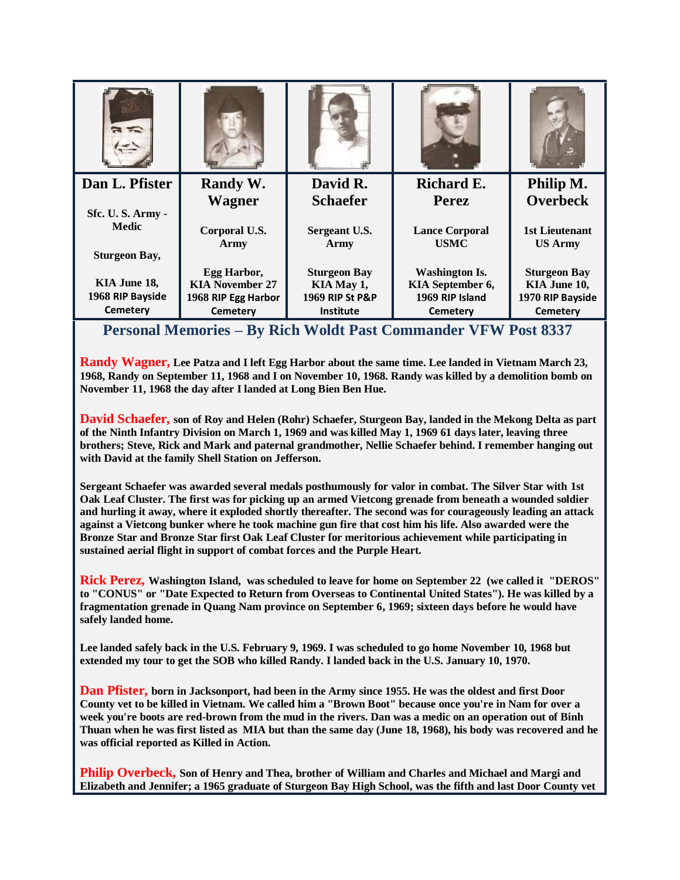| Dan L. Pfister                                           | Randy W.               | David R.              | <b>Richard E.</b>                    | Philip M.                        |
|----------------------------------------------------------|------------------------|-----------------------|--------------------------------------|----------------------------------|
|                                                          | <b>Wagner</b>          | <b>Schaefer</b>       | <b>Perez</b>                         | <b>Overbeck</b>                  |
| Sfc. U.S. Army -<br><b>Medic</b><br><b>Sturgeon Bay,</b> | Corporal U.S.<br>Army  | Sergeant U.S.<br>Army | <b>Lance Corporal</b><br><b>USMC</b> | 1st Lieutenant<br><b>US Army</b> |
|                                                          | Egg Harbor,            | <b>Sturgeon Bay</b>   | <b>Washington Is.</b>                | <b>Sturgeon Bay</b>              |
| KIA June 18,                                             | <b>KIA November 27</b> | KIA May 1,            | KIA September 6,                     | KIA June 10,                     |
| 1968 RIP Bayside                                         | 1968 RIP Egg Harbor    | 1969 RIP St P&P       | 1969 RIP Island                      | 1970 RIP Bayside                 |
| <b>Cemetery</b>                                          | <b>Cemetery</b>        | <b>Institute</b>      | <b>Cemetery</b>                      | <b>Cemetery</b>                  |
|                                                          |                        |                       |                                      |                                  |

**Personal Memories – By Rich Woldt Past Commander VFW Post 8337**

**Randy Wagner, Lee Patza and I left Egg Harbor about the same time. Lee landed in Vietnam March 23, 1968, Randy on September 11, 1968 and I on November 10, 1968. Randy was killed by a demolition bomb on November 11, 1968 the day after I landed at Long Bien Ben Hue.** 

**David Schaefer, son of Roy and Helen (Rohr) Schaefer, Sturgeon Bay, landed in the Mekong Delta as part of the Ninth Infantry Division on March 1, 1969 and was killed May 1, 1969 61 days later, leaving three brothers; Steve, Rick and Mark and paternal grandmother, Nellie Schaefer behind. I remember hanging out with David at the family Shell Station on Jefferson.**

**Sergeant Schaefer was awarded several medals posthumously for valor in combat. The Silver Star with 1st Oak Leaf Cluster. The first was for picking up an armed Vietcong grenade from beneath a wounded soldier and hurling it away, where it exploded shortly thereafter. The second was for courageously leading an attack against a Vietcong bunker where he took machine gun fire that cost him his life. Also awarded were the Bronze Star and Bronze Star first Oak Leaf Cluster for meritorious achievement while participating in sustained aerial flight in support of combat forces and the Purple Heart.** 

**Rick Perez, Washington Island, was scheduled to leave for home on September 22 (we called it "DEROS" to "CONUS" or "Date Expected to Return from Overseas to Continental United States"). He was killed by a fragmentation grenade in Quang Nam province on September 6, 1969; sixteen days before he would have safely landed home.** 

**Lee landed safely back in the U.S. February 9, 1969. I was scheduled to go home November 10, 1968 but extended my tour to get the SOB who killed Randy. I landed back in the U.S. January 10, 1970.**

**Dan Pfister, born in Jacksonport, had been in the Army since 1955. He was the oldest and first Door County vet to be killed in Vietnam. We called him a "Brown Boot" because once you're in Nam for over a week you're boots are red-brown from the mud in the rivers. Dan was a medic on an operation out of Binh Thuan when he was first listed as MIA but than the same day (June 18, 1968), his body was recovered and he was official reported as Killed in Action.** 

**Philip Overbeck, Son of Henry and Thea, brother of William and Charles and Michael and Margi and Elizabeth and Jennifer; a 1965 graduate of Sturgeon Bay High School, was the fifth and last Door County vet**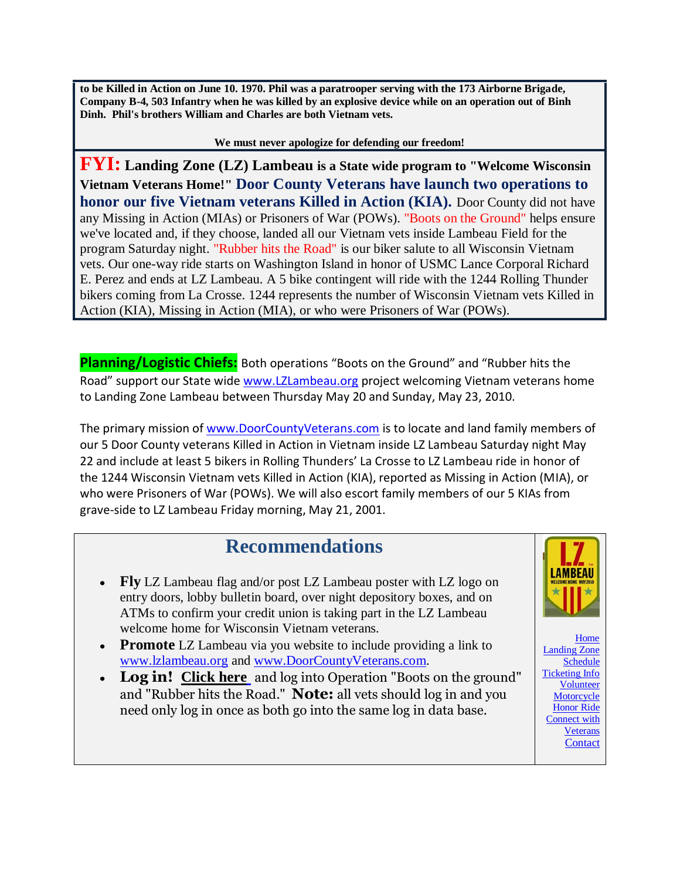**to be Killed in Action on June 10. 1970. Phil was a paratrooper serving with the 173 Airborne Brigade, Company B-4, 503 Infantry when he was killed by an explosive device while on an operation out of Binh Dinh. Phil's brothers William and Charles are both Vietnam vets.**

**We must never apologize for defending our freedom!**

**FYI: Landing Zone (LZ) Lambeau is a State wide program to "Welcome Wisconsin Vietnam Veterans Home!" Door County Veterans have launch two operations to honor our five Vietnam veterans Killed in Action (KIA).** Door County did not have any Missing in Action (MIAs) or Prisoners of War (POWs). "Boots on the Ground" helps ensure we've located and, if they choose, landed all our Vietnam vets inside Lambeau Field for the program Saturday night. "Rubber hits the Road" is our biker salute to all Wisconsin Vietnam vets. Our one-way ride starts on Washington Island in honor of USMC Lance Corporal Richard E. Perez and ends at LZ Lambeau. A 5 bike contingent will ride with the 1244 Rolling Thunder bikers coming from La Crosse. 1244 represents the number of Wisconsin Vietnam vets Killed in Action (KIA), Missing in Action (MIA), or who were Prisoners of War (POWs).

**Planning/Logistic Chiefs:** Both operations "Boots on the Ground" and "Rubber hits the Road" support our State wide [www.LZLambeau.org](http://www.lzlambeau.org/) project welcoming Vietnam veterans home to Landing Zone Lambeau between Thursday May 20 and Sunday, May 23, 2010.

The primary mission of [www.DoorCountyVeterans.com](http://www.doorcountyveterans.com/) is to locate and land family members of our 5 Door County veterans Killed in Action in Vietnam inside LZ Lambeau Saturday night May 22 and include at least 5 bikers in Rolling Thunders' La Crosse to LZ Lambeau ride in honor of the 1244 Wisconsin Vietnam vets Killed in Action (KIA), reported as Missing in Action (MIA), or who were Prisoners of War (POWs). We will also escort family members of our 5 KIAs from grave-side to LZ Lambeau Friday morning, May 21, 2001.

## **Recommendations**

- Fly LZ Lambeau flag and/or post LZ Lambeau poster with LZ logo on entry doors, lobby bulletin board, over night depository boxes, and on ATMs to confirm your credit union is taking part in the LZ Lambeau welcome home for Wisconsin Vietnam veterans.
- **Promote** LZ Lambeau via you website to include providing a link to [www.lzlambeau.org](http://www.lzlambeau.org/) and [www.DoorCountyVeterans.com.](http://www.doorcountyveterans.com/)
- **Log in! [Click here](http://www.surveymonkey.com/s/M9JPVKW)** and log into Operation "Boots on the ground" and "Rubber hits the Road." **Note:** all vets should log in and you need only log in once as both go into the same log in data base.



**[Home](http://lzlambeau.org/index.cfm)** [Landing Zone](http://lzlambeau.org/about.cfm)  [Schedule](http://lzlambeau.org/about.cfm) [Ticketing Info](http://lzlambeau.org/tickets.cfm) **[Volunteer](http://lzlambeau.org/volunteer_survey.cfm)** [Motorcycle](http://lzlambeau.org/Ride.cfm)  [Honor Ride](http://lzlambeau.org/Ride.cfm) [Connect with](http://lzlambeau.org/connectwithvets.cfm)  [Veterans](http://lzlambeau.org/connectwithvets.cfm) **[Contact](http://lzlambeau.org/contact.cfm)**